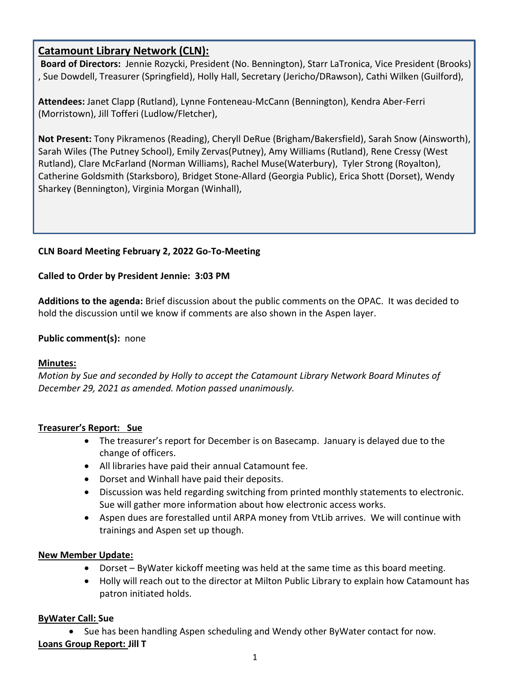# **Catamount Library Network (CLN):**

**Board of Directors:** Jennie Rozycki, President (No. Bennington), Starr LaTronica, Vice President (Brooks) , Sue Dowdell, Treasurer (Springfield), Holly Hall, Secretary (Jericho/DRawson), Cathi Wilken (Guilford),

**Attendees:** Janet Clapp (Rutland), Lynne Fonteneau-McCann (Bennington), Kendra Aber-Ferri (Morristown), Jill Tofferi (Ludlow/Fletcher),

**Not Present:** Tony Pikramenos (Reading), Cheryll DeRue (Brigham/Bakersfield), Sarah Snow (Ainsworth), Sarah Wiles (The Putney School), Emily Zervas(Putney), Amy Williams (Rutland), Rene Cressy (West Rutland), Clare McFarland (Norman Williams), Rachel Muse(Waterbury), Tyler Strong (Royalton), Catherine Goldsmith (Starksboro), Bridget Stone-Allard (Georgia Public), Erica Shott (Dorset), Wendy Sharkey (Bennington), Virginia Morgan (Winhall),

# **CLN Board Meeting February 2, 2022 Go-To-Meeting**

# **Called to Order by President Jennie: 3:03 PM**

**Additions to the agenda:** Brief discussion about the public comments on the OPAC. It was decided to hold the discussion until we know if comments are also shown in the Aspen layer.

### **Public comment(s):** none

# **Minutes:**

*Motion by Sue and seconded by Holly to accept the Catamount Library Network Board Minutes of December 29, 2021 as amended. Motion passed unanimously.*

# **Treasurer's Report: Sue**

- The treasurer's report for December is on Basecamp. January is delayed due to the change of officers.
- All libraries have paid their annual Catamount fee.
- Dorset and Winhall have paid their deposits.
- Discussion was held regarding switching from printed monthly statements to electronic. Sue will gather more information about how electronic access works.
- Aspen dues are forestalled until ARPA money from VtLib arrives. We will continue with trainings and Aspen set up though.

# **New Member Update:**

- Dorset ByWater kickoff meeting was held at the same time as this board meeting.
- Holly will reach out to the director at Milton Public Library to explain how Catamount has patron initiated holds.

#### **ByWater Call: Sue**

Sue has been handling Aspen scheduling and Wendy other ByWater contact for now.

# **Loans Group Report: Jill T**